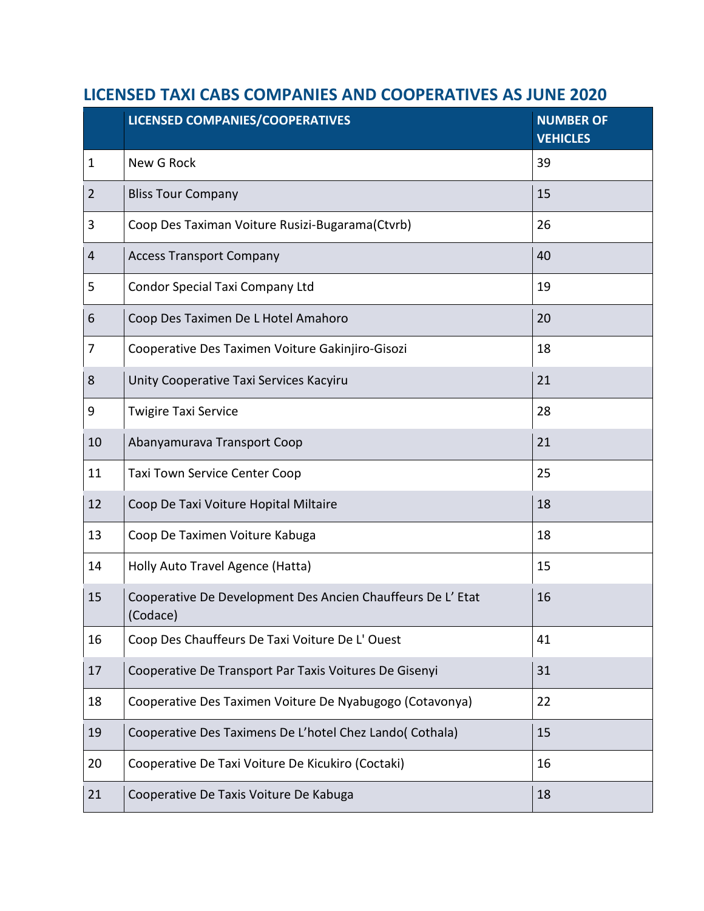## **LICENSED TAXI CABS COMPANIES AND COOPERATIVES AS JUNE 2020**

|                  | <b>LICENSED COMPANIES/COOPERATIVES</b>                                  | <b>NUMBER OF</b><br><b>VEHICLES</b> |
|------------------|-------------------------------------------------------------------------|-------------------------------------|
| $\mathbf{1}$     | New G Rock                                                              | 39                                  |
| $\overline{2}$   | <b>Bliss Tour Company</b>                                               | 15                                  |
| 3                | Coop Des Taximan Voiture Rusizi-Bugarama(Ctvrb)                         | 26                                  |
| $\overline{4}$   | <b>Access Transport Company</b>                                         | 40                                  |
| 5                | <b>Condor Special Taxi Company Ltd</b>                                  | 19                                  |
| $\boldsymbol{6}$ | Coop Des Taximen De L Hotel Amahoro                                     | 20                                  |
| 7                | Cooperative Des Taximen Voiture Gakinjiro-Gisozi                        | 18                                  |
| 8                | Unity Cooperative Taxi Services Kacyiru                                 | 21                                  |
| 9                | <b>Twigire Taxi Service</b>                                             | 28                                  |
| 10               | Abanyamurava Transport Coop                                             | 21                                  |
| 11               | <b>Taxi Town Service Center Coop</b>                                    | 25                                  |
| 12               | Coop De Taxi Voiture Hopital Miltaire                                   | 18                                  |
| 13               | Coop De Taximen Voiture Kabuga                                          | 18                                  |
| 14               | Holly Auto Travel Agence (Hatta)                                        | 15                                  |
| 15               | Cooperative De Development Des Ancien Chauffeurs De L' Etat<br>(Codace) | 16                                  |
| 16               | Coop Des Chauffeurs De Taxi Voiture De L'Ouest                          | 41                                  |
| 17               | Cooperative De Transport Par Taxis Voitures De Gisenyi                  | 31                                  |
| 18               | Cooperative Des Taximen Voiture De Nyabugogo (Cotavonya)                | 22                                  |
| 19               | Cooperative Des Taximens De L'hotel Chez Lando(Cothala)                 | 15                                  |
| 20               | Cooperative De Taxi Voiture De Kicukiro (Coctaki)                       | 16                                  |
| 21               | Cooperative De Taxis Voiture De Kabuga                                  | 18                                  |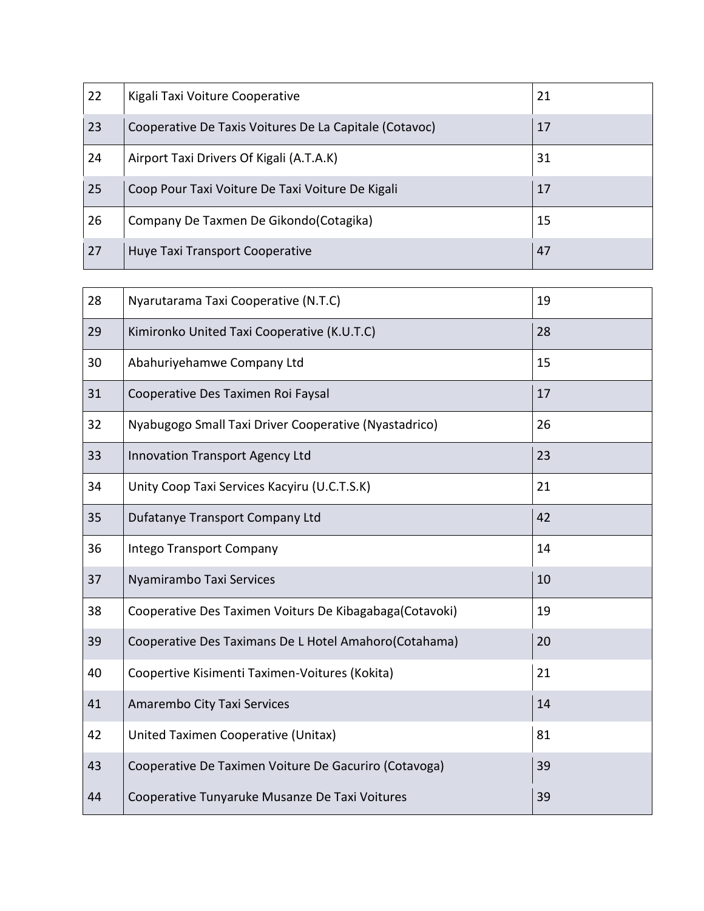| 22 | Kigali Taxi Voiture Cooperative                        | 21 |
|----|--------------------------------------------------------|----|
| 23 | Cooperative De Taxis Voitures De La Capitale (Cotavoc) | 17 |
| 24 | Airport Taxi Drivers Of Kigali (A.T.A.K)               | 31 |
| 25 | Coop Pour Taxi Voiture De Taxi Voiture De Kigali       | 17 |
| 26 | Company De Taxmen De Gikondo (Cotagika)                | 15 |
| 27 | Huye Taxi Transport Cooperative                        | 47 |

| 28 | Nyarutarama Taxi Cooperative (N.T.C)                    | 19 |
|----|---------------------------------------------------------|----|
| 29 | Kimironko United Taxi Cooperative (K.U.T.C)             | 28 |
| 30 | Abahuriyehamwe Company Ltd                              | 15 |
| 31 | Cooperative Des Taximen Roi Faysal                      | 17 |
| 32 | Nyabugogo Small Taxi Driver Cooperative (Nyastadrico)   | 26 |
| 33 | Innovation Transport Agency Ltd                         | 23 |
| 34 | Unity Coop Taxi Services Kacyiru (U.C.T.S.K)            | 21 |
| 35 | Dufatanye Transport Company Ltd                         | 42 |
| 36 | <b>Intego Transport Company</b>                         | 14 |
| 37 | Nyamirambo Taxi Services                                | 10 |
| 38 | Cooperative Des Taximen Voiturs De Kibagabaga(Cotavoki) | 19 |
| 39 | Cooperative Des Taximans De L Hotel Amahoro(Cotahama)   | 20 |
| 40 | Coopertive Kisimenti Taximen-Voitures (Kokita)          | 21 |
| 41 | Amarembo City Taxi Services                             | 14 |
| 42 | United Taximen Cooperative (Unitax)                     | 81 |
| 43 | Cooperative De Taximen Voiture De Gacuriro (Cotavoga)   | 39 |
| 44 | Cooperative Tunyaruke Musanze De Taxi Voitures          | 39 |